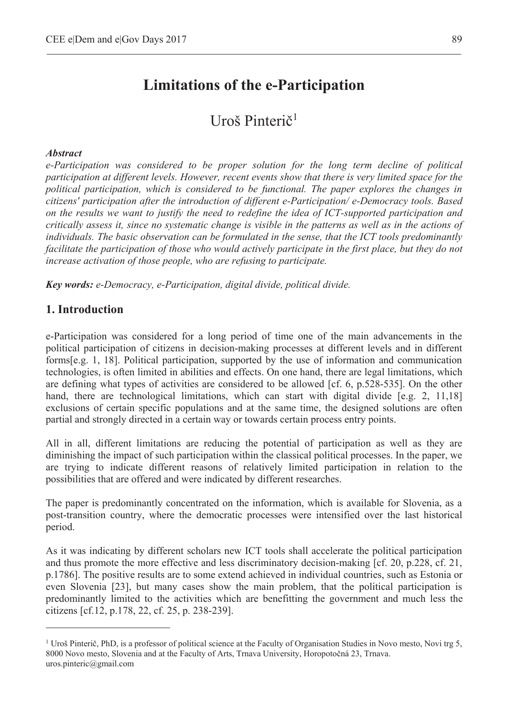# **Limitations of the e-Participation**

# $U$ roš Pinterič $<sup>1</sup>$ </sup>

#### *Abstract*

*e-Participation was considered to be proper solution for the long term decline of political participation at different levels. However, recent events show that there is very limited space for the political participation, which is considered to be functional. The paper explores the changes in citizens' participation after the introduction of different e-Participation/ e-Democracy tools. Based on the results we want to justify the need to redefine the idea of ICT-supported participation and critically assess it, since no systematic change is visible in the patterns as well as in the actions of individuals. The basic observation can be formulated in the sense, that the ICT tools predominantly facilitate the participation of those who would actively participate in the first place, but they do not increase activation of those people, who are refusing to participate.* 

*Key words: e-Democracy, e-Participation, digital divide, political divide.* 

#### **1. Introduction**

 $\overline{a}$ 

e-Participation was considered for a long period of time one of the main advancements in the political participation of citizens in decision-making processes at different levels and in different forms[e.g. 1, 18]. Political participation, supported by the use of information and communication technologies, is often limited in abilities and effects. On one hand, there are legal limitations, which are defining what types of activities are considered to be allowed [cf. 6, p.528-535]. On the other hand, there are technological limitations, which can start with digital divide [e.g. 2, 11,18] exclusions of certain specific populations and at the same time, the designed solutions are often partial and strongly directed in a certain way or towards certain process entry points.

All in all, different limitations are reducing the potential of participation as well as they are diminishing the impact of such participation within the classical political processes. In the paper, we are trying to indicate different reasons of relatively limited participation in relation to the possibilities that are offered and were indicated by different researches.

The paper is predominantly concentrated on the information, which is available for Slovenia, as a post-transition country, where the democratic processes were intensified over the last historical period.

As it was indicating by different scholars new ICT tools shall accelerate the political participation and thus promote the more effective and less discriminatory decision-making [cf. 20, p.228, cf. 21, p.1786]. The positive results are to some extend achieved in individual countries, such as Estonia or even Slovenia [23], but many cases show the main problem, that the political participation is predominantly limited to the activities which are benefitting the government and much less the citizens [cf.12, p.178, 22, cf. 25, p. 238-239].

<sup>&</sup>lt;sup>1</sup> Uroš Pinterič, PhD, is a professor of political science at the Faculty of Organisation Studies in Novo mesto, Novi trg 5, 8000 Novo mesto, Slovenia and at the Faculty of Arts, Trnava University, Horopotočná 23, Trnava. uros.pinteric@gmail.com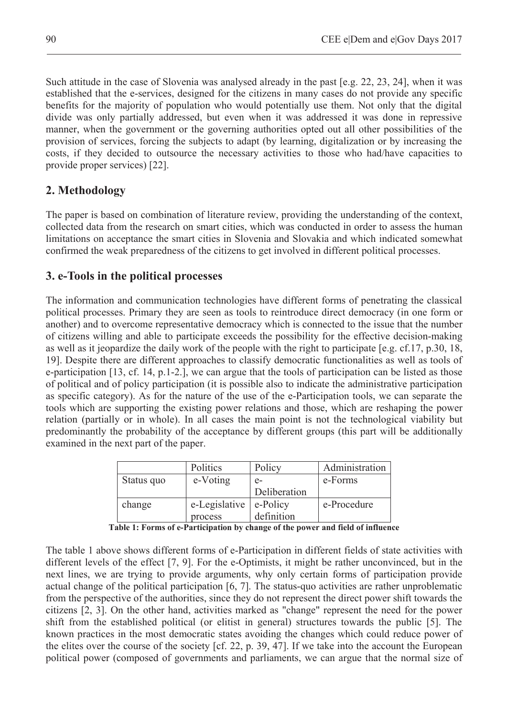Such attitude in the case of Slovenia was analysed already in the past [e.g. 22, 23, 24], when it was established that the e-services, designed for the citizens in many cases do not provide any specific benefits for the majority of population who would potentially use them. Not only that the digital divide was only partially addressed, but even when it was addressed it was done in repressive manner, when the government or the governing authorities opted out all other possibilities of the provision of services, forcing the subjects to adapt (by learning, digitalization or by increasing the costs, if they decided to outsource the necessary activities to those who had/have capacities to provide proper services) [22].

# **2. Methodology**

The paper is based on combination of literature review, providing the understanding of the context, collected data from the research on smart cities, which was conducted in order to assess the human limitations on acceptance the smart cities in Slovenia and Slovakia and which indicated somewhat confirmed the weak preparedness of the citizens to get involved in different political processes.

# **3. e-Tools in the political processes**

The information and communication technologies have different forms of penetrating the classical political processes. Primary they are seen as tools to reintroduce direct democracy (in one form or another) and to overcome representative democracy which is connected to the issue that the number of citizens willing and able to participate exceeds the possibility for the effective decision-making as well as it jeopardize the daily work of the people with the right to participate [e.g. cf.17, p.30, 18, 19]. Despite there are different approaches to classify democratic functionalities as well as tools of e-participation [13, cf. 14, p.1-2.], we can argue that the tools of participation can be listed as those of political and of policy participation (it is possible also to indicate the administrative participation as specific category). As for the nature of the use of the e-Participation tools, we can separate the tools which are supporting the existing power relations and those, which are reshaping the power relation (partially or in whole). In all cases the main point is not the technological viability but predominantly the probability of the acceptance by different groups (this part will be additionally examined in the next part of the paper.

|            | Politics      | Policy       | Administration |
|------------|---------------|--------------|----------------|
| Status quo | e-Voting      | $e-$         | e-Forms        |
|            |               | Deliberation |                |
| change     | e-Legislative | e-Policy     | e-Procedure    |
|            | process       | definition   |                |

**Table 1: Forms of e-Participation by change of the power and field of influence**

The table 1 above shows different forms of e-Participation in different fields of state activities with different levels of the effect [7, 9]. For the e-Optimists, it might be rather unconvinced, but in the next lines, we are trying to provide arguments, why only certain forms of participation provide actual change of the political participation [6, 7]. The status-quo activities are rather unproblematic from the perspective of the authorities, since they do not represent the direct power shift towards the citizens [2, 3]. On the other hand, activities marked as "change" represent the need for the power shift from the established political (or elitist in general) structures towards the public [5]. The known practices in the most democratic states avoiding the changes which could reduce power of the elites over the course of the society [cf. 22, p. 39, 47]. If we take into the account the European political power (composed of governments and parliaments, we can argue that the normal size of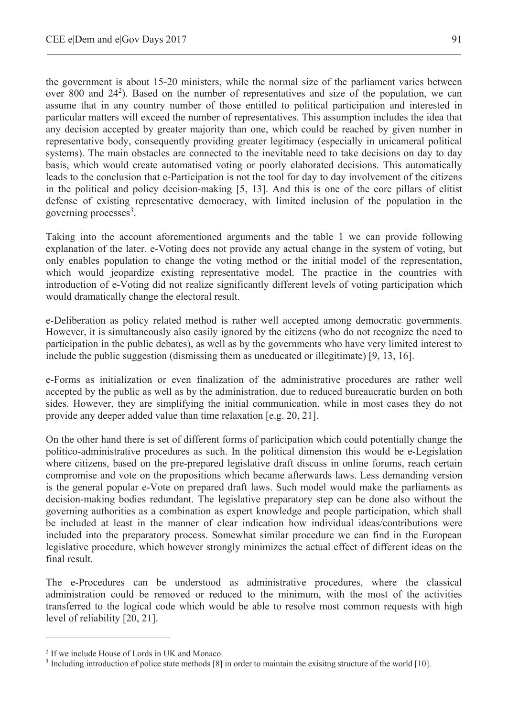the government is about 15-20 ministers, while the normal size of the parliament varies between over 800 and  $24^2$ ). Based on the number of representatives and size of the population, we can assume that in any country number of those entitled to political participation and interested in particular matters will exceed the number of representatives. This assumption includes the idea that any decision accepted by greater majority than one, which could be reached by given number in representative body, consequently providing greater legitimacy (especially in unicameral political systems). The main obstacles are connected to the inevitable need to take decisions on day to day basis, which would create automatised voting or poorly elaborated decisions. This automatically leads to the conclusion that e-Participation is not the tool for day to day involvement of the citizens in the political and policy decision-making [5, 13]. And this is one of the core pillars of elitist defense of existing representative democracy, with limited inclusion of the population in the governing processes<sup>3</sup>.

Taking into the account aforementioned arguments and the table 1 we can provide following explanation of the later. e-Voting does not provide any actual change in the system of voting, but only enables population to change the voting method or the initial model of the representation, which would jeopardize existing representative model. The practice in the countries with introduction of e-Voting did not realize significantly different levels of voting participation which would dramatically change the electoral result.

e-Deliberation as policy related method is rather well accepted among democratic governments. However, it is simultaneously also easily ignored by the citizens (who do not recognize the need to participation in the public debates), as well as by the governments who have very limited interest to include the public suggestion (dismissing them as uneducated or illegitimate) [9, 13, 16].

e-Forms as initialization or even finalization of the administrative procedures are rather well accepted by the public as well as by the administration, due to reduced bureaucratic burden on both sides. However, they are simplifying the initial communication, while in most cases they do not provide any deeper added value than time relaxation [e.g. 20, 21].

On the other hand there is set of different forms of participation which could potentially change the politico-administrative procedures as such. In the political dimension this would be e-Legislation where citizens, based on the pre-prepared legislative draft discuss in online forums, reach certain compromise and vote on the propositions which became afterwards laws. Less demanding version is the general popular e-Vote on prepared draft laws. Such model would make the parliaments as decision-making bodies redundant. The legislative preparatory step can be done also without the governing authorities as a combination as expert knowledge and people participation, which shall be included at least in the manner of clear indication how individual ideas/contributions were included into the preparatory process. Somewhat similar procedure we can find in the European legislative procedure, which however strongly minimizes the actual effect of different ideas on the final result.

The e-Procedures can be understood as administrative procedures, where the classical administration could be removed or reduced to the minimum, with the most of the activities transferred to the logical code which would be able to resolve most common requests with high level of reliability [20, 21].

 $\overline{a}$ 

<sup>2</sup> If we include House of Lords in UK and Monaco

<sup>&</sup>lt;sup>3</sup> Including introduction of police state methods [8] in order to maintain the exisitng structure of the world [10].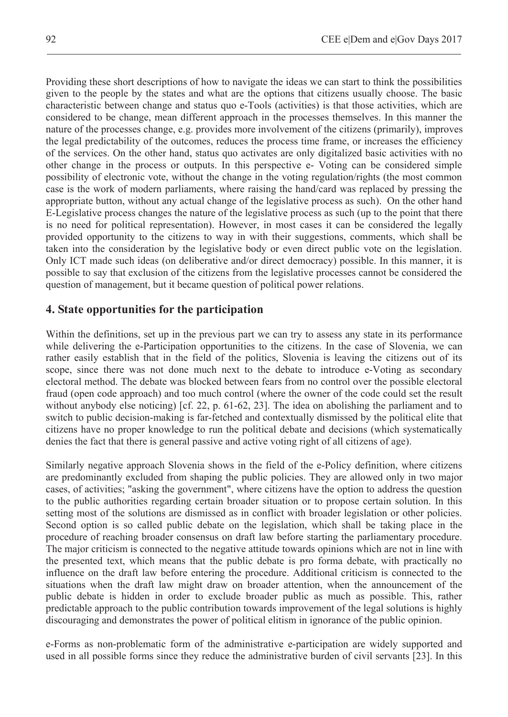Providing these short descriptions of how to navigate the ideas we can start to think the possibilities given to the people by the states and what are the options that citizens usually choose. The basic characteristic between change and status quo e-Tools (activities) is that those activities, which are considered to be change, mean different approach in the processes themselves. In this manner the nature of the processes change, e.g. provides more involvement of the citizens (primarily), improves the legal predictability of the outcomes, reduces the process time frame, or increases the efficiency of the services. On the other hand, status quo activates are only digitalized basic activities with no other change in the process or outputs. In this perspective e- Voting can be considered simple possibility of electronic vote, without the change in the voting regulation/rights (the most common case is the work of modern parliaments, where raising the hand/card was replaced by pressing the appropriate button, without any actual change of the legislative process as such). On the other hand E-Legislative process changes the nature of the legislative process as such (up to the point that there is no need for political representation). However, in most cases it can be considered the legally provided opportunity to the citizens to way in with their suggestions, comments, which shall be taken into the consideration by the legislative body or even direct public vote on the legislation. Only ICT made such ideas (on deliberative and/or direct democracy) possible. In this manner, it is possible to say that exclusion of the citizens from the legislative processes cannot be considered the question of management, but it became question of political power relations.

### **4. State opportunities for the participation**

Within the definitions, set up in the previous part we can try to assess any state in its performance while delivering the e-Participation opportunities to the citizens. In the case of Slovenia, we can rather easily establish that in the field of the politics, Slovenia is leaving the citizens out of its scope, since there was not done much next to the debate to introduce e-Voting as secondary electoral method. The debate was blocked between fears from no control over the possible electoral fraud (open code approach) and too much control (where the owner of the code could set the result without anybody else noticing) [cf. 22, p. 61-62, 23]. The idea on abolishing the parliament and to switch to public decision-making is far-fetched and contextually dismissed by the political elite that citizens have no proper knowledge to run the political debate and decisions (which systematically denies the fact that there is general passive and active voting right of all citizens of age).

Similarly negative approach Slovenia shows in the field of the e-Policy definition, where citizens are predominantly excluded from shaping the public policies. They are allowed only in two major cases, of activities; "asking the government", where citizens have the option to address the question to the public authorities regarding certain broader situation or to propose certain solution. In this setting most of the solutions are dismissed as in conflict with broader legislation or other policies. Second option is so called public debate on the legislation, which shall be taking place in the procedure of reaching broader consensus on draft law before starting the parliamentary procedure. The major criticism is connected to the negative attitude towards opinions which are not in line with the presented text, which means that the public debate is pro forma debate, with practically no influence on the draft law before entering the procedure. Additional criticism is connected to the situations when the draft law might draw on broader attention, when the announcement of the public debate is hidden in order to exclude broader public as much as possible. This, rather predictable approach to the public contribution towards improvement of the legal solutions is highly discouraging and demonstrates the power of political elitism in ignorance of the public opinion.

e-Forms as non-problematic form of the administrative e-participation are widely supported and used in all possible forms since they reduce the administrative burden of civil servants [23]. In this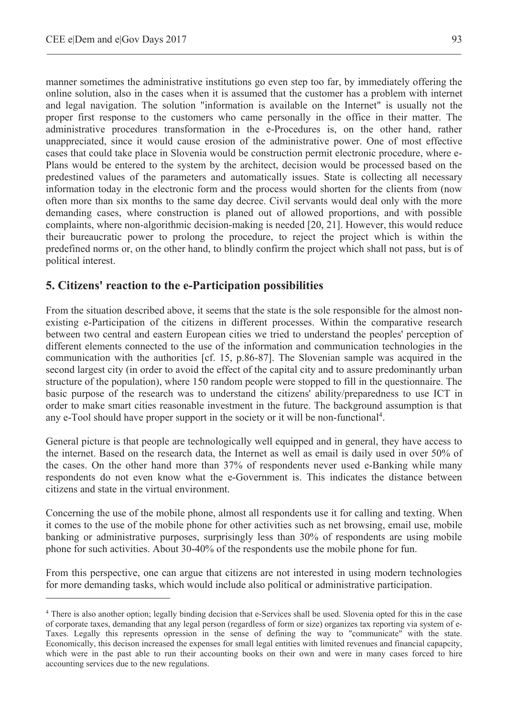$\overline{a}$ 

manner sometimes the administrative institutions go even step too far, by immediately offering the online solution, also in the cases when it is assumed that the customer has a problem with internet and legal navigation. The solution "information is available on the Internet" is usually not the proper first response to the customers who came personally in the office in their matter. The administrative procedures transformation in the e-Procedures is, on the other hand, rather unappreciated, since it would cause erosion of the administrative power. One of most effective cases that could take place in Slovenia would be construction permit electronic procedure, where e-Plans would be entered to the system by the architect, decision would be processed based on the predestined values of the parameters and automatically issues. State is collecting all necessary information today in the electronic form and the process would shorten for the clients from (now often more than six months to the same day decree. Civil servants would deal only with the more demanding cases, where construction is planed out of allowed proportions, and with possible complaints, where non-algorithmic decision-making is needed [20, 21]. However, this would reduce their bureaucratic power to prolong the procedure, to reject the project which is within the predefined norms or, on the other hand, to blindly confirm the project which shall not pass, but is of political interest.

### **5. Citizens' reaction to the e-Participation possibilities**

From the situation described above, it seems that the state is the sole responsible for the almost nonexisting e-Participation of the citizens in different processes. Within the comparative research between two central and eastern European cities we tried to understand the peoples' perception of different elements connected to the use of the information and communication technologies in the communication with the authorities [cf. 15, p.86-87]. The Slovenian sample was acquired in the second largest city (in order to avoid the effect of the capital city and to assure predominantly urban structure of the population), where 150 random people were stopped to fill in the questionnaire. The basic purpose of the research was to understand the citizens' ability/preparedness to use ICT in order to make smart cities reasonable investment in the future. The background assumption is that any e-Tool should have proper support in the society or it will be non-functional<sup>4</sup>.

General picture is that people are technologically well equipped and in general, they have access to the internet. Based on the research data, the Internet as well as email is daily used in over 50% of the cases. On the other hand more than 37% of respondents never used e-Banking while many respondents do not even know what the e-Government is. This indicates the distance between citizens and state in the virtual environment.

Concerning the use of the mobile phone, almost all respondents use it for calling and texting. When it comes to the use of the mobile phone for other activities such as net browsing, email use, mobile banking or administrative purposes, surprisingly less than 30% of respondents are using mobile phone for such activities. About 30-40% of the respondents use the mobile phone for fun.

From this perspective, one can argue that citizens are not interested in using modern technologies for more demanding tasks, which would include also political or administrative participation.

<sup>4</sup> There is also another option; legally binding decision that e-Services shall be used. Slovenia opted for this in the case of corporate taxes, demanding that any legal person (regardless of form or size) organizes tax reporting via system of e-Taxes. Legally this represents opression in the sense of defining the way to "communicate" with the state. Economically, this decison increased the expenses for small legal entities with limited revenues and financial capapcity, which were in the past able to run their accounting books on their own and were in many cases forced to hire accounting services due to the new regulations.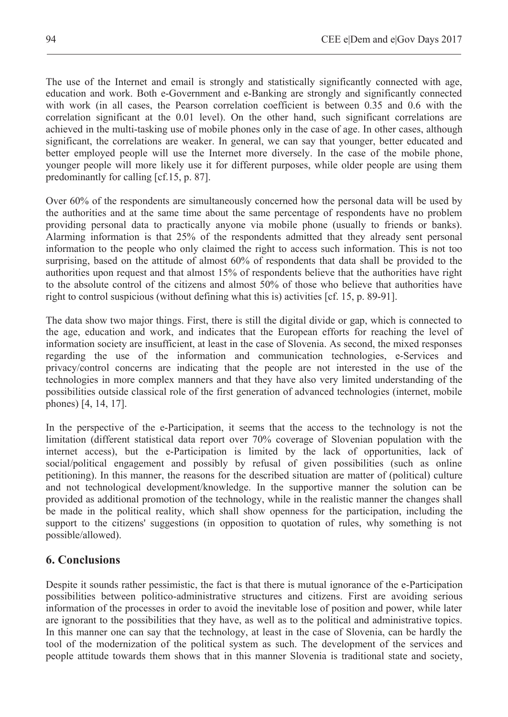The use of the Internet and email is strongly and statistically significantly connected with age, education and work. Both e-Government and e-Banking are strongly and significantly connected with work (in all cases, the Pearson correlation coefficient is between 0.35 and 0.6 with the correlation significant at the 0.01 level). On the other hand, such significant correlations are achieved in the multi-tasking use of mobile phones only in the case of age. In other cases, although significant, the correlations are weaker. In general, we can say that younger, better educated and better employed people will use the Internet more diversely. In the case of the mobile phone, younger people will more likely use it for different purposes, while older people are using them predominantly for calling [cf.15, p. 87].

Over 60% of the respondents are simultaneously concerned how the personal data will be used by the authorities and at the same time about the same percentage of respondents have no problem providing personal data to practically anyone via mobile phone (usually to friends or banks). Alarming information is that 25% of the respondents admitted that they already sent personal information to the people who only claimed the right to access such information. This is not too surprising, based on the attitude of almost 60% of respondents that data shall be provided to the authorities upon request and that almost 15% of respondents believe that the authorities have right to the absolute control of the citizens and almost 50% of those who believe that authorities have right to control suspicious (without defining what this is) activities [cf. 15, p. 89-91].

The data show two major things. First, there is still the digital divide or gap, which is connected to the age, education and work, and indicates that the European efforts for reaching the level of information society are insufficient, at least in the case of Slovenia. As second, the mixed responses regarding the use of the information and communication technologies, e-Services and privacy/control concerns are indicating that the people are not interested in the use of the technologies in more complex manners and that they have also very limited understanding of the possibilities outside classical role of the first generation of advanced technologies (internet, mobile phones) [4, 14, 17].

In the perspective of the e-Participation, it seems that the access to the technology is not the limitation (different statistical data report over 70% coverage of Slovenian population with the internet access), but the e-Participation is limited by the lack of opportunities, lack of social/political engagement and possibly by refusal of given possibilities (such as online petitioning). In this manner, the reasons for the described situation are matter of (political) culture and not technological development/knowledge. In the supportive manner the solution can be provided as additional promotion of the technology, while in the realistic manner the changes shall be made in the political reality, which shall show openness for the participation, including the support to the citizens' suggestions (in opposition to quotation of rules, why something is not possible/allowed).

## **6. Conclusions**

Despite it sounds rather pessimistic, the fact is that there is mutual ignorance of the e-Participation possibilities between politico-administrative structures and citizens. First are avoiding serious information of the processes in order to avoid the inevitable lose of position and power, while later are ignorant to the possibilities that they have, as well as to the political and administrative topics. In this manner one can say that the technology, at least in the case of Slovenia, can be hardly the tool of the modernization of the political system as such. The development of the services and people attitude towards them shows that in this manner Slovenia is traditional state and society,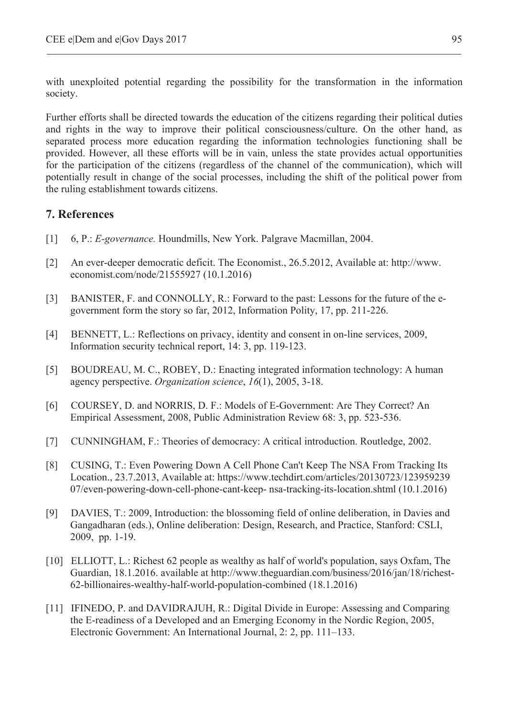with unexploited potential regarding the possibility for the transformation in the information society.

Further efforts shall be directed towards the education of the citizens regarding their political duties and rights in the way to improve their political consciousness/culture. On the other hand, as separated process more education regarding the information technologies functioning shall be provided. However, all these efforts will be in vain, unless the state provides actual opportunities for the participation of the citizens (regardless of the channel of the communication), which will potentially result in change of the social processes, including the shift of the political power from the ruling establishment towards citizens.

### **7. References**

- [1] 6, P.: *E-governance.* Houndmills, New York. Palgrave Macmillan, 2004.
- [2] An ever-deeper democratic deficit. The Economist., 26.5.2012, Available at: http://www. economist.com/node/21555927 (10.1.2016)
- [3] BANISTER, F. and CONNOLLY, R.: Forward to the past: Lessons for the future of the egovernment form the story so far, 2012, Information Polity, 17, pp. 211-226.
- [4] BENNETT, L.: Reflections on privacy, identity and consent in on-line services, 2009, Information security technical report, 14: 3, pp. 119-123.
- [5] BOUDREAU, M. C., ROBEY, D.: Enacting integrated information technology: A human agency perspective. *Organization science*, *16*(1), 2005, 3-18.
- [6] COURSEY, D. and NORRIS, D. F.: Models of E-Government: Are They Correct? An Empirical Assessment, 2008, Public Administration Review 68: 3, pp. 523-536.
- [7] CUNNINGHAM, F.: Theories of democracy: A critical introduction. Routledge, 2002.
- [8] CUSING, T.: Even Powering Down A Cell Phone Can't Keep The NSA From Tracking Its Location., 23.7.2013, Available at: https://www.techdirt.com/articles/20130723/123959239 07/even-powering-down-cell-phone-cant-keep- nsa-tracking-its-location.shtml (10.1.2016)
- [9] DAVIES, T.: 2009, Introduction: the blossoming field of online deliberation, in Davies and Gangadharan (eds.), Online deliberation: Design, Research, and Practice, Stanford: CSLI, 2009, pp. 1-19.
- [10] ELLIOTT, L.: Richest 62 people as wealthy as half of world's population, says Oxfam, The Guardian, 18.1.2016. available at http://www.theguardian.com/business/2016/jan/18/richest-62-billionaires-wealthy-half-world-population-combined (18.1.2016)
- [11] IFINEDO, P. and DAVIDRAJUH, R.: Digital Divide in Europe: Assessing and Comparing the E-readiness of a Developed and an Emerging Economy in the Nordic Region, 2005, Electronic Government: An International Journal, 2: 2, pp. 111–133.